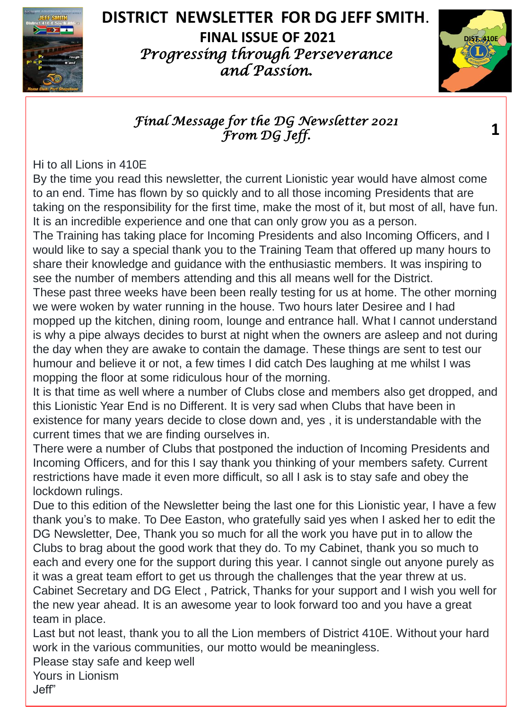

# **DISTRICT NEWSLETTER FOR DG JEFF SMITH**.

**FINAL ISSUE OF 2021** *Progressing through Perseverance and Passion.*



**1**

#### *Final Message for the DG Newsletter 2021 From DG Jeff.*

Hi to all Lions in 410E

By the time you read this newsletter, the current Lionistic year would have almost come to an end. Time has flown by so quickly and to all those incoming Presidents that are taking on the responsibility for the first time, make the most of it, but most of all, have fun. It is an incredible experience and one that can only grow you as a person.

The Training has taking place for Incoming Presidents and also Incoming Officers, and I would like to say a special thank you to the Training Team that offered up many hours to share their knowledge and guidance with the enthusiastic members. It was inspiring to see the number of members attending and this all means well for the District. These past three weeks have been been really testing for us at home. The other morning we were woken by water running in the house. Two hours later Desiree and I had mopped up the kitchen, dining room, lounge and entrance hall. What I cannot understand is why a pipe always decides to burst at night when the owners are asleep and not during the day when they are awake to contain the damage. These things are sent to test our humour and believe it or not, a few times I did catch Des laughing at me whilst I was mopping the floor at some ridiculous hour of the morning.

It is that time as well where a number of Clubs close and members also get dropped, and this Lionistic Year End is no Different. It is very sad when Clubs that have been in existence for many years decide to close down and, yes , it is understandable with the current times that we are finding ourselves in.

There were a number of Clubs that postponed the induction of Incoming Presidents and Incoming Officers, and for this I say thank you thinking of your members safety. Current restrictions have made it even more difficult, so all I ask is to stay safe and obey the lockdown rulings.

Due to this edition of the Newsletter being the last one for this Lionistic year, I have a few thank you's to make. To Dee Easton, who gratefully said yes when I asked her to edit the DG Newsletter, Dee, Thank you so much for all the work you have put in to allow the Clubs to brag about the good work that they do. To my Cabinet, thank you so much to each and every one for the support during this year. I cannot single out anyone purely as it was a great team effort to get us through the challenges that the year threw at us. Cabinet Secretary and DG Elect , Patrick, Thanks for your support and I wish you well for the new year ahead. It is an awesome year to look forward too and you have a great team in place.

Last but not least, thank you to all the Lion members of District 410E. Without your hard work in the various communities, our motto would be meaningless.

Please stay safe and keep well

Yours in Lionism Jeff"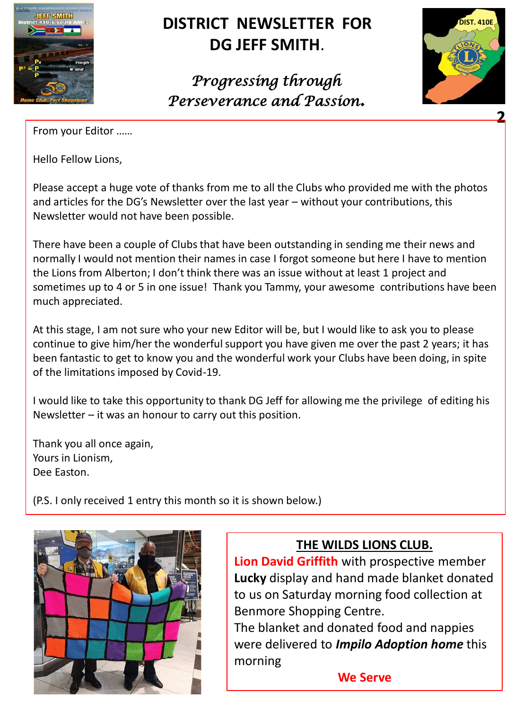

## **DISTRICT NEWSLETTER FOR DG JEFF SMITH**.

*Progressing through Perseverance and Passion.*



From your Editor ……

Hello Fellow Lions,

Please accept a huge vote of thanks from me to all the Clubs who provided me with the photos and articles for the DG's Newsletter over the last year – without your contributions, this Newsletter would not have been possible.

There have been a couple of Clubs that have been outstanding in sending me their news and normally I would not mention their names in case I forgot someone but here I have to mention the Lions from Alberton; I don't think there was an issue without at least 1 project and sometimes up to 4 or 5 in one issue! Thank you Tammy, your awesome contributions have been much appreciated.

At this stage, I am not sure who your new Editor will be, but I would like to ask you to please continue to give him/her the wonderful support you have given me over the past 2 years; it has been fantastic to get to know you and the wonderful work your Clubs have been doing, in spite of the limitations imposed by Covid-19.

I would like to take this opportunity to thank DG Jeff for allowing me the privilege of editing his Newsletter – it was an honour to carry out this position.

Thank you all once again, Yours in Lionism, Dee Easton.

(P.S. I only received 1 entry this month so it is shown below.)



#### **THE WILDS LIONS CLUB.**

**Lion David Griffith** with prospective member **Lucky** display and hand made blanket donated to us on Saturday morning food collection at Benmore Shopping Centre.

The blanket and donated food and nappies were delivered to *Impilo Adoption home* this morning

**We Serve**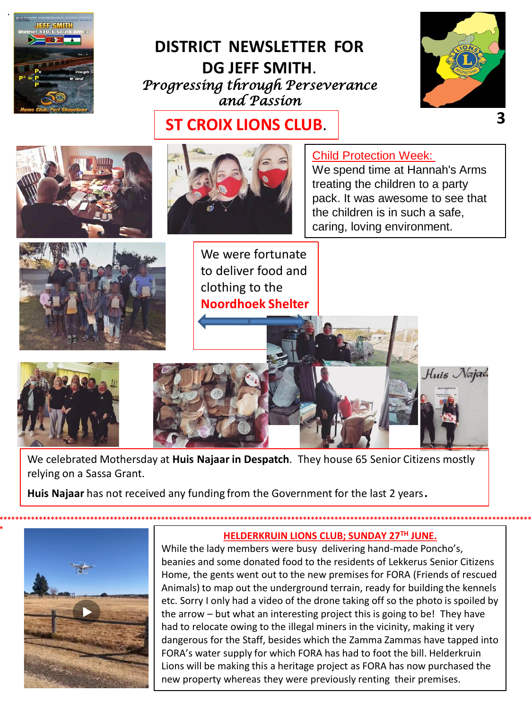

#### **DISTRICT NEWSLETTER FOR** DG JEFF SMITH. Progressing through Perseverance and Passion



**ST CROIX LIONS CLUB.** 



We celebrated Mothersday at Huis Najaar in Despatch. They house 65 Senior Citizens mostly relying on a Sassa Grant.

Huis Najaar has not received any funding from the Government for the last 2 years.



#### HELDERKRUIN LIONS CLUB; SUNDAY 27TH JUNE.

While the lady members were busy delivering hand-made Poncho's, beanies and some donated food to the residents of Lekkerus Senior Citizens Home, the gents went out to the new premises for FORA (Friends of rescued Animals) to map out the underground terrain, ready for building the kennels etc. Sorry I only had a video of the drone taking off so the photo is spoiled by the arrow – but what an interesting project this is going to be! They have had to relocate owing to the illegal miners in the vicinity, making it very dangerous for the Staff, besides which the Zamma Zammas have tapped into FORA's water supply for which FORA has had to foot the bill. Helderkruin Lions will be making this a heritage project as FORA has now purchased the new property whereas they were previously renting their premises.